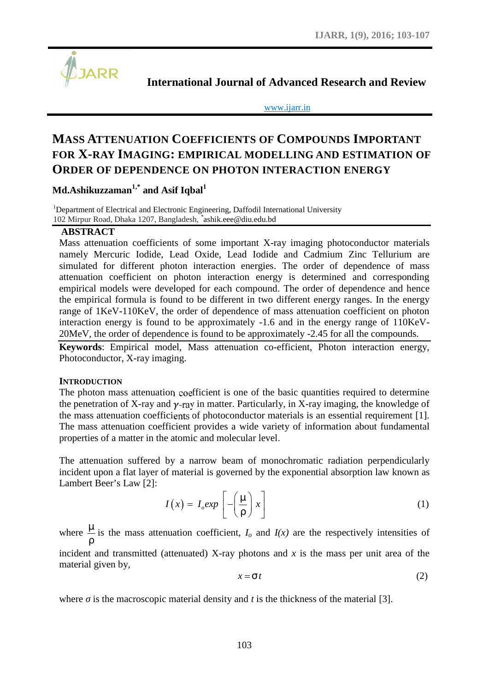

**International Journal of Advanced Research and Review**

www.ijarr.in

# **MASS ATTENUATION COEFFICIENTS OF COMPOUNDS IMPORTANT FOR X-RAY IMAGING: EMPIRICAL MODELLING AND ESTIMATION OF ORDER OF DEPENDENCE ON PHOTON INTERACTION ENERGY**

**Md.Ashikuzzaman1,\* and Asif Iqbal<sup>1</sup>**

<sup>1</sup>Department of Electrical and Electronic Engineering, Daffodil International University 102 Mirpur Road, Dhaka 1207, Bangladesh, *\**ashik.eee@diu.edu.bd

# **ABSTRACT**

Mass attenuation coefficients of some important X-ray imaging photoconductor materials namely Mercuric Iodide, Lead Oxide, Lead Iodide and Cadmium Zinc Tellurium are simulated for different photon interaction energies. The order of dependence of mass attenuation coefficient on photon interaction energy is determined and corresponding empirical models were developed for each compound. The order of dependence and hence the empirical formula is found to be different in two different energy ranges. In the energy range of 1KeV-110KeV, the order of dependence of mass attenuation coefficient on photon interaction energy is found to be approximately -1.6 and in the energy range of 110KeV- 20MeV, the order of dependence is found to be approximately -2.45 for all the compounds. hoton interaction energies. The order of dependence of many hoton interaction energy is determined and corresponding<br>veloped for each compound. The order of dependence and hen<br>veloped for each compound. The order of depen **F** some important X-ray imaging photoconductor naternals<br>
I Oxide, Lead Iodide and Cadmium Zinc Tellurium are<br>
interaction energies. The order of dependence of mass<br>
interaction energy is determined and corresponding<br>
ed

**Keywords**: Empirical model, Mass attenuation co-efficient, Photon interaction energy, Photoconductor, X-ray imaging.

## **INTRODUCTION**

The photon mass attenuation coefficient is one of the basic quantities required to determine the penetration of X-ray and  $\gamma$ -ray in matter. Particularly, in X-ray imaging, the knowledge of the mass attenuation coefficients of photoconductor materials is an essential requirement [1]. The mass attenuation coefficient provides a wide variety of information about fundamental properties of a matter in the atomic and molecular level. *x* and the basic quantities required to determine<br> *x* and the basic quantities required to determine<br>
Particularly, in X-ray imaging, the knowledge of<br>
particularly, in X-ray imaging, the knowledge of<br>
wide variety of i

The attenuation suffered by a narrow beam of monochromatic radiation perpendicularly incident upon a flat layer of material is governed by the exponential absorption law known as Lambert Beer's Law [2]:

$$
I(x) = I_0 \exp\left[-\left(\frac{\tilde{}}{\tilde{}}\right)x\right]
$$
 (1)

where  $\tilde{-}$  is the mass attenuation coefficient,  $I_o$  and  $\frac{10}{10}$  and  $\frac{1}{10000}$  and  $\frac{1}{10000}$  and  $\frac{1}{10000}$  and  $\frac{1}{10000}$  and  $\frac{1}{10000}$ is the mass attenuation coefficient,  $I$ <sup> $\sigma$ </sup> and  $I(x)$  are the respectively intensities of incident and transmitted (attenuated) X-ray photons and *x* is the mass per unit area of the material given by,

$$
x = \dagger t \tag{2}
$$

where is the macroscopic material density and *t* is the thickness of the material [3].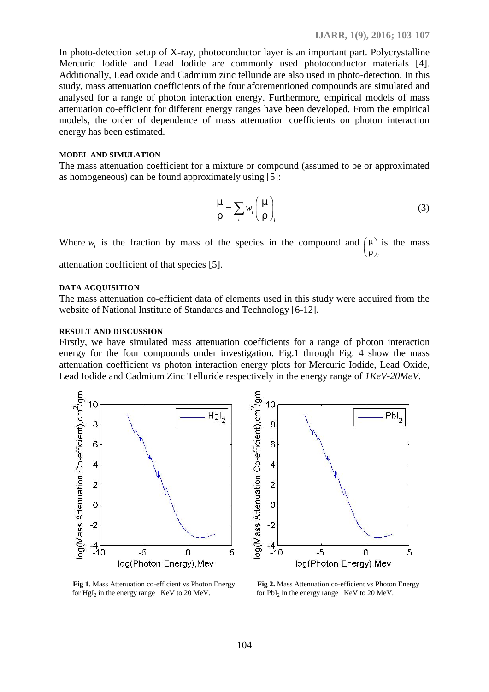In photo-detection setup of X-ray, photoconductor layer is an important part. Polycrystalline Mercuric Iodide and Lead Iodide are commonly used photoconductor materials [4]. Additionally, Lead oxide and Cadmium zinc telluride are also used in photo-detection. In this study, mass attenuation coefficients of the four aforementioned compounds are simulated and analysed for a range of photon interaction energy. Furthermore, empirical models of mass attenuation co-efficient for different energy ranges have been developed. From the empirical models, the order of dependence of mass attenuation coefficients on photon interaction energy has been estimated. **LIARR**, 1(9), 2016; 103-107<br>
coconductor layer is an important part. Polycrystalline<br>
re commonly used photoconductor materials [4].<br>
zinc telluride are also used in photo-detection. In this<br>
the four aforementioned comp **IJARR**, 1(9), 2016; 103-107<br>
coconductor layer is an important part. Polycrystalline<br>
re commonly used photoconductor materials [4].<br>
zinc telluride are also used in photo-detection. In this<br>
he four aforementioned compo LJARR, 1(9), 2016; 103-107<br>
onductor layer is an important part. Polycrystalline<br>
commonly used photoconductor materials [4].<br>
nc telluride are also used in photo-detection. In this<br>
four aforementioned compounds are simu 9, 2016; 103-107<br>
t. Polycrystalline<br>
r materials [4].<br>
detection. In this<br>
re simulated and<br>
models of mass<br>
om the empirical<br>
oton interaction<br>
or approximated<br>
or approximated<br>
(3)<br>
( $\sum_{i}$ ) is the mass<br>
capared from

#### **MODEL AND SIMULATION**

The mass attenuation coefficient for a mixture or compound (assumed to be or approximated as homogeneous) can be found approximately using [5]:

$$
\tilde{\frac{m}{m}} = \sum_{i} w_i \left( \tilde{\frac{m}{m}} \right)_i \tag{3}
$$

Where  $w_i$  is the fraction by mass of the species in the compound and  $\left(\underline{\ } \right)$  is t  $\left(\frac{1}{i}\right)$  is the mass  $\ldots$  ), and the contract of  $\ldots$ attenuation coefficient of that species [5].

#### **DATA ACQUISITION**

The mass attenuation co-efficient data of elements used in this study were acquired from the website of National Institute of Standards and Technology [6-12].

#### **RESULT AND DISCUSSION**

Firstly, we have simulated mass attenuation coefficients for a range of photon interaction energy for the four compounds under investigation. Fig.1 through Fig. 4 show the mass attenuation coefficient vs photon interaction energy plots for Mercuric Iodide, Lead Oxide, Lead Iodide and Cadmium Zinc Telluride respectively in the energy range of *1KeV-20MeV*.



for  $Hgl_2$  in the energy range 1KeV to 20 MeV. for  $Pbl_2$  in the

**Fig 1**. Mass Attenuation co-efficient vs Photon Energy **Fig 2.** Mass Attenuation co-efficient vs Photon Energy for  $PbI<sub>2</sub>$  in the energy range 1KeV to 20 MeV.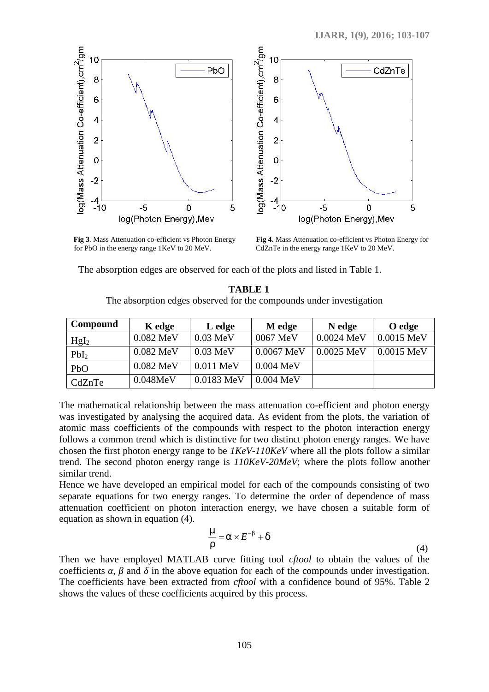

for PbO in the energy range 1KeV to 20 MeV. CdZnTe in the energy range 1KeV to 20 MeV.

**Fig 3**. Mass Attenuation co-efficient vs Photon Energy **Fig 4.** Mass Attenuation co-efficient vs Photon Energy for

The absorption edges are observed for each of the plots and listed in Table 1.

|                                                    | The absorption edges observed for the compounds under investigation                             |                                                                                                                                                                                                                                                                                                                                                                                                                                                                   |             |            |              |
|----------------------------------------------------|-------------------------------------------------------------------------------------------------|-------------------------------------------------------------------------------------------------------------------------------------------------------------------------------------------------------------------------------------------------------------------------------------------------------------------------------------------------------------------------------------------------------------------------------------------------------------------|-------------|------------|--------------|
| Compound                                           | K edge                                                                                          | L edge                                                                                                                                                                                                                                                                                                                                                                                                                                                            | M edge      | N edge     | O edge       |
| Hgl <sub>2</sub>                                   | 0.082 MeV                                                                                       | $0.03 \text{ MeV}$                                                                                                                                                                                                                                                                                                                                                                                                                                                | 0067 MeV    | 0.0024 MeV | $0.0015$ MeV |
| PbI <sub>2</sub>                                   | 0.082 MeV                                                                                       | $0.03 \text{ MeV}$                                                                                                                                                                                                                                                                                                                                                                                                                                                | 0.0067 MeV  | 0.0025 MeV | 0.0015 MeV   |
| PbO                                                | 0.082 MeV                                                                                       | 0.011 MeV                                                                                                                                                                                                                                                                                                                                                                                                                                                         | $0.004$ MeV |            |              |
| CdZnTe                                             | 0.048MeV                                                                                        | 0.0183 MeV                                                                                                                                                                                                                                                                                                                                                                                                                                                        | $0.004$ MeV |            |              |
| imilar trend.<br>quation as shown in equation (4). |                                                                                                 | hosen the first photon energy range to be $1KeV-110KeV$ where all the plots follow a similar<br>rend. The second photon energy range is 110KeV-20MeV; where the plots follow another<br>lence we have developed an empirical model for each of the compounds consisting of two<br>eparate equations for two energy ranges. To determine the order of dependence of mass<br>ttenuation coefficient on photon interaction energy, we have chosen a suitable form of |             |            |              |
|                                                    |                                                                                                 | $\tilde{-} = \Gamma \times E^{-s} + U$                                                                                                                                                                                                                                                                                                                                                                                                                            |             |            |              |
|                                                    | The coefficients have been extracted from <i>cftool</i> with a confidence bound of 95%. Table 2 | Then we have employed MATLAB curve fitting tool <i>cftool</i> to obtain the values of the<br>oefficients, and in the above equation for each of the compounds under investigation.                                                                                                                                                                                                                                                                                |             |            | (4)          |

$$
= \Gamma \times E^{-s} + u
$$

Then we have employed MATLAB curve fitting tool *cftool* to obtain the values of the coefficients , and in the above equation for each of the compounds under investigation. The coefficients have been extracted from *cftool* with a confidence bound of 95%. Table 2 shows the values of these coefficients acquired by this process.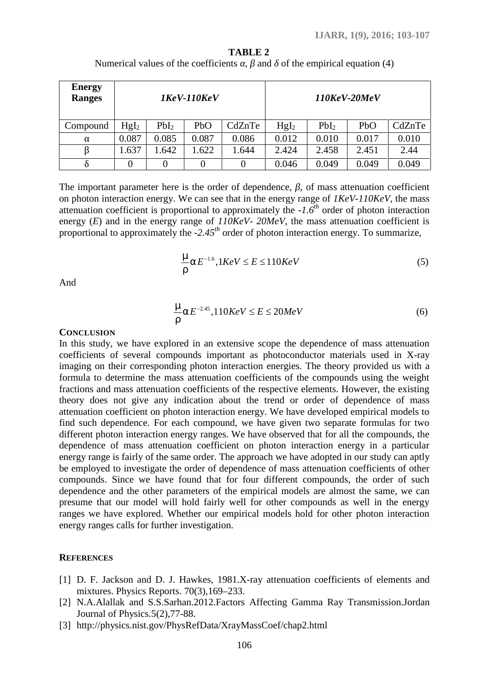|                                                                                               |                    |                                       |              |                                                          |                  |                                 |                                                                                                | <b>IJARR, 1(9), 2016; 103-107</b> |
|-----------------------------------------------------------------------------------------------|--------------------|---------------------------------------|--------------|----------------------------------------------------------|------------------|---------------------------------|------------------------------------------------------------------------------------------------|-----------------------------------|
|                                                                                               |                    |                                       |              | <b>TABLE 2</b>                                           |                  |                                 |                                                                                                |                                   |
|                                                                                               |                    | Numerical values of the coefficients, |              | and                                                      |                  | of the empirical equation $(4)$ |                                                                                                |                                   |
| <b>Energy</b><br><b>Ranges</b>                                                                | $1$ KeV- $110$ KeV |                                       |              |                                                          | 110KeV-20MeV     |                                 |                                                                                                |                                   |
| Compound                                                                                      | Hgl <sub>2</sub>   | PbI <sub>2</sub>                      | PbO          | CdZnTe                                                   | Hgl <sub>2</sub> | PbI <sub>2</sub>                | PbO                                                                                            | CdZnTe                            |
|                                                                                               | 0.087              | 0.085                                 | 0.087        | 0.086                                                    | 0.012            | 0.010                           | 0.017                                                                                          | 0.010                             |
|                                                                                               | 1.637              | 1.642                                 | 1.622        | 1.644                                                    | 2.424            | 2.458                           | 2.451                                                                                          | 2.44                              |
|                                                                                               | $\boldsymbol{0}$   | $\boldsymbol{0}$                      | $\mathbf{0}$ | $\boldsymbol{0}$                                         | 0.046            | 0.049                           | 0.049                                                                                          | 0.049                             |
|                                                                                               |                    |                                       |              |                                                          |                  |                                 | energy $(E)$ and in the energy range of $110KeV - 20MeV$ , the mass attenuation coefficient is |                                   |
| proportional to approximately the $-2.45th$ order of photon interaction energy. To summarize, |                    |                                       |              |                                                          |                  |                                 |                                                                                                |                                   |
| And                                                                                           |                    |                                       |              | $\Gamma$ $\Gamma$ $E^{-1.6}$ , $1KeV \leq E \leq 110KeV$ |                  |                                 |                                                                                                | (5)                               |
|                                                                                               |                    |                                       |              | $\text{Tr} E^{-2.45}$ , 110KeV $\le E \le 20MeV$         |                  |                                 |                                                                                                | (6)                               |

**TABLE 2** Numerical values of the coefficients, and of the empirical equation (4)

$$
-\Gamma E^{-1.6}, 1KeV \le E \le 110KeV \tag{5}
$$

$$
-\Gamma E^{-2.45}, 110KeV \le E \le 20MeV \tag{6}
$$

### **CONCLUSION**

In this study, we have explored in an extensive scope the dependence of mass attenuation coefficients of several compounds important as photoconductor materials used in X-ray imaging on their corresponding photon interaction energies. The theory provided us with a formula to determine the mass attenuation coefficients of the compounds using the weight fractions and mass attenuation coefficients of the respective elements. However, the existing theory does not give any indication about the trend or order of dependence of mass attenuation coefficient on photon interaction energy. We have developed empirical models to find such dependence. For each compound, we have given two separate formulas for two different photon interaction energy ranges. We have observed that for all the compounds, the dependence of mass attenuation coefficient on photon interaction energy in a particular energy range is fairly of the same order. The approach we have adopted in our study can aptly be employed to investigate the order of dependence of mass attenuation coefficients of other compounds. Since we have found that for four different compounds, the order of such dependence and the other parameters of the empirical models are almost the same, we can presume that our model will hold fairly well for other compounds as well in the energy ranges we have explored. Whether our empirical models hold for other photon interaction energy ranges calls for further investigation.

## **REFERENCES**

- [1] D. F. Jackson and D. J. Hawkes, 1981.X-ray attenuation coefficients of elements and mixtures. Physics Reports. 70(3),169–233.
- [2] N.A.Alallak and S.S.Sarhan.2012.Factors Affecting Gamma Ray Transmission.Jordan Journal of Physics.5(2),77-88.
- [3] http://physics.nist.gov/PhysRefData/XrayMassCoef/chap2.html